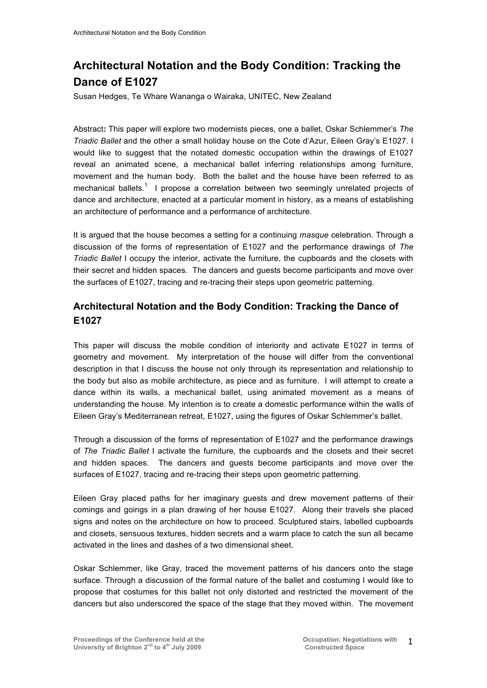# **Architectural Notation and the Body Condition: Tracking the Dance of E1027**

Susan Hedges, Te Whare Wananga o Wairaka, UNITEC, New Zealand

Abstract**:** This paper will explore two modernists pieces, one a ballet, Oskar Schlemmer's *The Triadic Ballet* and the other a small holiday house on the Cote d'Azur, Eileen Gray's E1027. I would like to suggest that the notated domestic occupation within the drawings of E1027 reveal an animated scene, a mechanical ballet inferring relationships among furniture, movement and the human body. Both the ballet and the house have been referred to as mechanical ballets.<sup>1</sup> I propose a correlation between two seemingly unrelated projects of dance and architecture, enacted at a particular moment in history, as a means of establishing an architecture of performance and a performance of architecture.

It is argued that the house becomes a setting for a continuing *masque* celebration. Through a discussion of the forms of representation of E1027 and the performance drawings of *The Triadic Ballet* I occupy the interior, activate the furniture, the cupboards and the closets with their secret and hidden spaces. The dancers and guests become participants and move over the surfaces of E1027, tracing and re-tracing their steps upon geometric patterning.

## **Architectural Notation and the Body Condition: Tracking the Dance of E1027**

This paper will discuss the mobile condition of interiority and activate E1027 in terms of geometry and movement. My interpretation of the house will differ from the conventional description in that I discuss the house not only through its representation and relationship to the body but also as mobile architecture, as piece and as furniture. I will attempt to create a dance within its walls, a mechanical ballet, using animated movement as a means of understanding the house. My intention is to create a domestic performance within the walls of Eileen Gray's Mediterranean retreat, E1027, using the figures of Oskar Schlemmer's ballet.

Through a discussion of the forms of representation of E1027 and the performance drawings of *The Triadic Ballet* I activate the furniture, the cupboards and the closets and their secret and hidden spaces. The dancers and guests become participants and move over the surfaces of E1027, tracing and re-tracing their steps upon geometric patterning.

Eileen Gray placed paths for her imaginary guests and drew movement patterns of their comings and goings in a plan drawing of her house E1027. Along their travels she placed signs and notes on the architecture on how to proceed. Sculptured stairs, labelled cupboards and closets, sensuous textures, hidden secrets and a warm place to catch the sun all became activated in the lines and dashes of a two dimensional sheet.

Oskar Schlemmer, like Gray, traced the movement patterns of his dancers onto the stage surface. Through a discussion of the formal nature of the ballet and costuming I would like to propose that costumes for this ballet not only distorted and restricted the movement of the dancers but also underscored the space of the stage that they moved within. The movement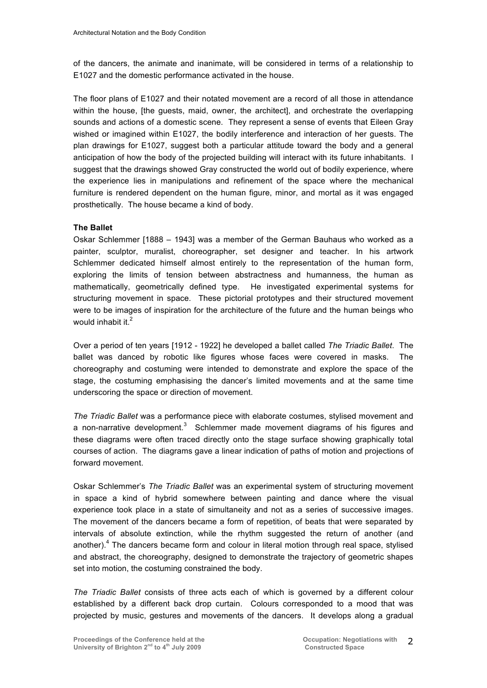of the dancers, the animate and inanimate, will be considered in terms of a relationship to E1027 and the domestic performance activated in the house.

The floor plans of E1027 and their notated movement are a record of all those in attendance within the house, [the guests, maid, owner, the architect], and orchestrate the overlapping sounds and actions of a domestic scene. They represent a sense of events that Eileen Gray wished or imagined within E1027, the bodily interference and interaction of her guests. The plan drawings for E1027, suggest both a particular attitude toward the body and a general anticipation of how the body of the projected building will interact with its future inhabitants. I suggest that the drawings showed Gray constructed the world out of bodily experience, where the experience lies in manipulations and refinement of the space where the mechanical furniture is rendered dependent on the human figure, minor, and mortal as it was engaged prosthetically. The house became a kind of body.

#### **The Ballet**

Oskar Schlemmer [1888 – 1943] was a member of the German Bauhaus who worked as a painter, sculptor, muralist, choreographer, set designer and teacher. In his artwork Schlemmer dedicated himself almost entirely to the representation of the human form, exploring the limits of tension between abstractness and humanness, the human as mathematically, geometrically defined type. He investigated experimental systems for structuring movement in space. These pictorial prototypes and their structured movement were to be images of inspiration for the architecture of the future and the human beings who would inhabit it  $2$ 

Over a period of ten years [1912 - 1922] he developed a ballet called *The Triadic Ballet*. The ballet was danced by robotic like figures whose faces were covered in masks. The choreography and costuming were intended to demonstrate and explore the space of the stage, the costuming emphasising the dancer's limited movements and at the same time underscoring the space or direction of movement.

*The Triadic Ballet* was a performance piece with elaborate costumes, stylised movement and a non-narrative development.<sup>3</sup> Schlemmer made movement diagrams of his figures and these diagrams were often traced directly onto the stage surface showing graphically total courses of action. The diagrams gave a linear indication of paths of motion and projections of forward movement.

Oskar Schlemmer's *The Triadic Ballet* was an experimental system of structuring movement in space a kind of hybrid somewhere between painting and dance where the visual experience took place in a state of simultaneity and not as a series of successive images. The movement of the dancers became a form of repetition, of beats that were separated by intervals of absolute extinction, while the rhythm suggested the return of another (and another).<sup>4</sup> The dancers became form and colour in literal motion through real space, stylised and abstract, the choreography, designed to demonstrate the trajectory of geometric shapes set into motion, the costuming constrained the body.

*The Triadic Ballet* consists of three acts each of which is governed by a different colour established by a different back drop curtain. Colours corresponded to a mood that was projected by music, gestures and movements of the dancers. It develops along a gradual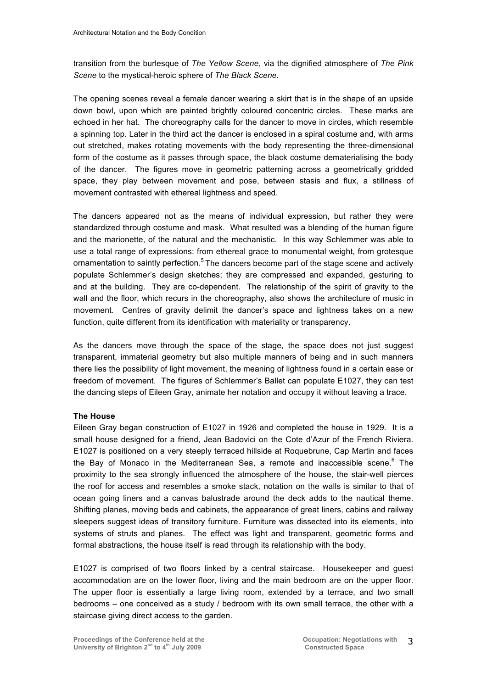transition from the burlesque of *The Yellow Scene*, via the dignified atmosphere of *The Pink Scene* to the mystical-heroic sphere of *The Black Scene.*

The opening scenes reveal a female dancer wearing a skirt that is in the shape of an upside down bowl, upon which are painted brightly coloured concentric circles. These marks are echoed in her hat. The choreography calls for the dancer to move in circles, which resemble a spinning top. Later in the third act the dancer is enclosed in a spiral costume and, with arms out stretched, makes rotating movements with the body representing the three-dimensional form of the costume as it passes through space, the black costume dematerialising the body of the dancer. The figures move in geometric patterning across a geometrically gridded space, they play between movement and pose, between stasis and flux, a stillness of movement contrasted with ethereal lightness and speed.

The dancers appeared not as the means of individual expression, but rather they were standardized through costume and mask. What resulted was a blending of the human figure and the marionette, of the natural and the mechanistic. In this way Schlemmer was able to use a total range of expressions: from ethereal grace to monumental weight, from grotesque ornamentation to saintly perfection.<sup>5</sup> The dancers become part of the stage scene and actively populate Schlemmer's design sketches; they are compressed and expanded, gesturing to and at the building. They are co-dependent. The relationship of the spirit of gravity to the wall and the floor, which recurs in the choreography, also shows the architecture of music in movement. Centres of gravity delimit the dancer's space and lightness takes on a new function, quite different from its identification with materiality or transparency.

As the dancers move through the space of the stage, the space does not just suggest transparent, immaterial geometry but also multiple manners of being and in such manners there lies the possibility of light movement, the meaning of lightness found in a certain ease or freedom of movement. The figures of Schlemmer's Ballet can populate E1027, they can test the dancing steps of Eileen Gray, animate her notation and occupy it without leaving a trace.

### **The House**

Eileen Gray began construction of E1027 in 1926 and completed the house in 1929. It is a small house designed for a friend, Jean Badovici on the Cote d'Azur of the French Riviera. E1027 is positioned on a very steeply terraced hillside at Roquebrune, Cap Martin and faces the Bay of Monaco in the Mediterranean Sea, a remote and inaccessible scene.<sup>6</sup> The proximity to the sea strongly influenced the atmosphere of the house, the stair-well pierces the roof for access and resembles a smoke stack, notation on the walls is similar to that of ocean going liners and a canvas balustrade around the deck adds to the nautical theme. Shifting planes, moving beds and cabinets, the appearance of great liners, cabins and railway sleepers suggest ideas of transitory furniture. Furniture was dissected into its elements, into systems of struts and planes. The effect was light and transparent, geometric forms and formal abstractions, the house itself is read through its relationship with the body.

E1027 is comprised of two floors linked by a central staircase. Housekeeper and guest accommodation are on the lower floor, living and the main bedroom are on the upper floor. The upper floor is essentially a large living room, extended by a terrace, and two small bedrooms – one conceived as a study / bedroom with its own small terrace, the other with a staircase giving direct access to the garden.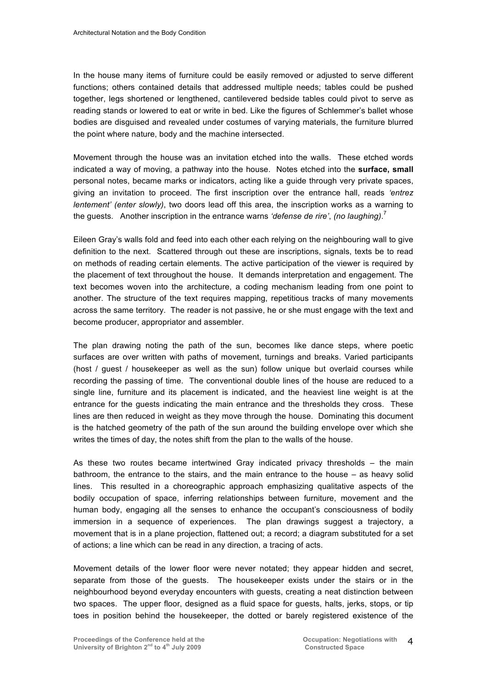In the house many items of furniture could be easily removed or adjusted to serve different functions; others contained details that addressed multiple needs; tables could be pushed together, legs shortened or lengthened, cantilevered bedside tables could pivot to serve as reading stands or lowered to eat or write in bed. Like the figures of Schlemmer's ballet whose bodies are disguised and revealed under costumes of varying materials, the furniture blurred the point where nature, body and the machine intersected.

Movement through the house was an invitation etched into the walls. These etched words indicated a way of moving, a pathway into the house. Notes etched into the **surface, small**  personal notes, became marks or indicators, acting like a guide through very private spaces, giving an invitation to proceed. The first inscription over the entrance hall, reads *'entrez lentement' (enter slowly)*, two doors lead off this area, the inscription works as a warning to the guests. Another inscription in the entrance warns *'defense de rire'*, *(no laughing)*. 7

Eileen Gray's walls fold and feed into each other each relying on the neighbouring wall to give definition to the next. Scattered through out these are inscriptions, signals, texts be to read on methods of reading certain elements. The active participation of the viewer is required by the placement of text throughout the house. It demands interpretation and engagement. The text becomes woven into the architecture, a coding mechanism leading from one point to another. The structure of the text requires mapping, repetitious tracks of many movements across the same territory. The reader is not passive, he or she must engage with the text and become producer, appropriator and assembler.

The plan drawing noting the path of the sun, becomes like dance steps, where poetic surfaces are over written with paths of movement, turnings and breaks. Varied participants (host / guest / housekeeper as well as the sun) follow unique but overlaid courses while recording the passing of time. The conventional double lines of the house are reduced to a single line, furniture and its placement is indicated, and the heaviest line weight is at the entrance for the guests indicating the main entrance and the thresholds they cross. These lines are then reduced in weight as they move through the house. Dominating this document is the hatched geometry of the path of the sun around the building envelope over which she writes the times of day, the notes shift from the plan to the walls of the house.

As these two routes became intertwined Gray indicated privacy thresholds – the main bathroom, the entrance to the stairs, and the main entrance to the house – as heavy solid lines. This resulted in a choreographic approach emphasizing qualitative aspects of the bodily occupation of space, inferring relationships between furniture, movement and the human body, engaging all the senses to enhance the occupant's consciousness of bodily immersion in a sequence of experiences. The plan drawings suggest a trajectory, a movement that is in a plane projection, flattened out; a record; a diagram substituted for a set of actions; a line which can be read in any direction, a tracing of acts.

Movement details of the lower floor were never notated; they appear hidden and secret, separate from those of the guests. The housekeeper exists under the stairs or in the neighbourhood beyond everyday encounters with guests, creating a neat distinction between two spaces. The upper floor, designed as a fluid space for guests, halts, jerks, stops, or tip toes in position behind the housekeeper, the dotted or barely registered existence of the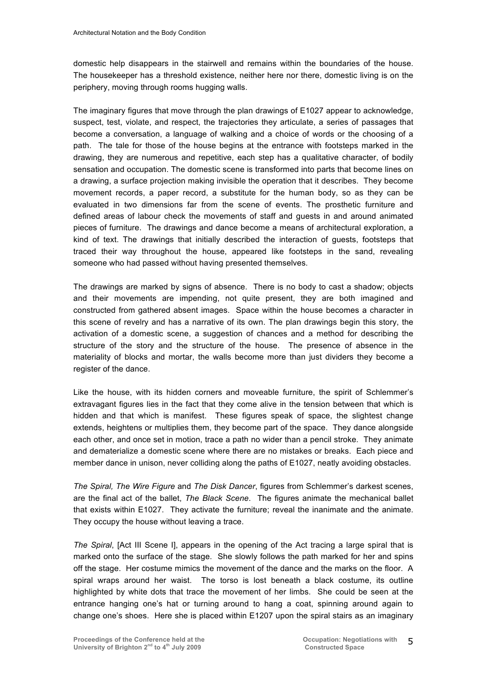domestic help disappears in the stairwell and remains within the boundaries of the house. The housekeeper has a threshold existence, neither here nor there, domestic living is on the periphery, moving through rooms hugging walls.

The imaginary figures that move through the plan drawings of E1027 appear to acknowledge, suspect, test, violate, and respect, the trajectories they articulate, a series of passages that become a conversation, a language of walking and a choice of words or the choosing of a path. The tale for those of the house begins at the entrance with footsteps marked in the drawing, they are numerous and repetitive, each step has a qualitative character, of bodily sensation and occupation. The domestic scene is transformed into parts that become lines on a drawing, a surface projection making invisible the operation that it describes. They become movement records, a paper record, a substitute for the human body, so as they can be evaluated in two dimensions far from the scene of events. The prosthetic furniture and defined areas of labour check the movements of staff and guests in and around animated pieces of furniture. The drawings and dance become a means of architectural exploration, a kind of text. The drawings that initially described the interaction of guests, footsteps that traced their way throughout the house, appeared like footsteps in the sand, revealing someone who had passed without having presented themselves.

The drawings are marked by signs of absence. There is no body to cast a shadow; objects and their movements are impending, not quite present, they are both imagined and constructed from gathered absent images. Space within the house becomes a character in this scene of revelry and has a narrative of its own. The plan drawings begin this story, the activation of a domestic scene, a suggestion of chances and a method for describing the structure of the story and the structure of the house. The presence of absence in the materiality of blocks and mortar, the walls become more than just dividers they become a register of the dance.

Like the house, with its hidden corners and moveable furniture, the spirit of Schlemmer's extravagant figures lies in the fact that they come alive in the tension between that which is hidden and that which is manifest. These figures speak of space, the slightest change extends, heightens or multiplies them, they become part of the space. They dance alongside each other, and once set in motion, trace a path no wider than a pencil stroke. They animate and dematerialize a domestic scene where there are no mistakes or breaks. Each piece and member dance in unison, never colliding along the paths of E1027, neatly avoiding obstacles.

*The Spiral, The Wire Figure* and *The Disk Dancer*, figures from Schlemmer's darkest scenes, are the final act of the ballet, *The Black Scene*. The figures animate the mechanical ballet that exists within E1027. They activate the furniture; reveal the inanimate and the animate. They occupy the house without leaving a trace.

*The Spiral*, [Act III Scene I], appears in the opening of the Act tracing a large spiral that is marked onto the surface of the stage. She slowly follows the path marked for her and spins off the stage. Her costume mimics the movement of the dance and the marks on the floor. A spiral wraps around her waist. The torso is lost beneath a black costume, its outline highlighted by white dots that trace the movement of her limbs. She could be seen at the entrance hanging one's hat or turning around to hang a coat, spinning around again to change one's shoes. Here she is placed within E1207 upon the spiral stairs as an imaginary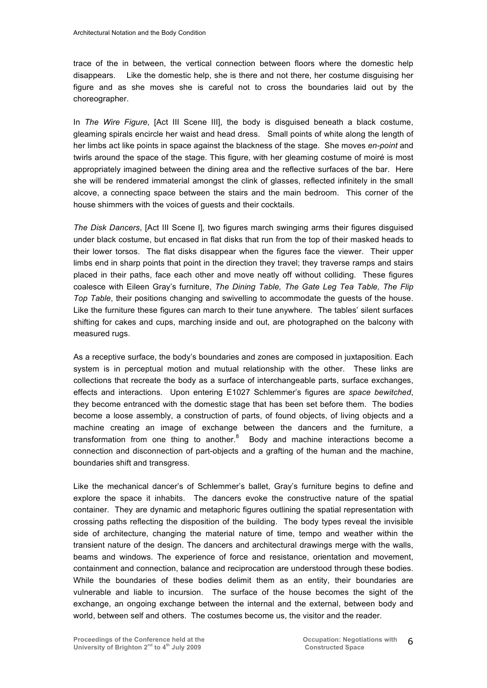trace of the in between, the vertical connection between floors where the domestic help disappears. Like the domestic help, she is there and not there, her costume disguising her figure and as she moves she is careful not to cross the boundaries laid out by the choreographer.

In *The Wire Figure*, [Act III Scene III], the body is disguised beneath a black costume, gleaming spirals encircle her waist and head dress. Small points of white along the length of her limbs act like points in space against the blackness of the stage. She moves *en-point* and twirls around the space of the stage. This figure, with her gleaming costume of moiré is most appropriately imagined between the dining area and the reflective surfaces of the bar. Here she will be rendered immaterial amongst the clink of glasses, reflected infinitely in the small alcove, a connecting space between the stairs and the main bedroom. This corner of the house shimmers with the voices of guests and their cocktails.

*The Disk Dancers*, [Act III Scene I], two figures march swinging arms their figures disguised under black costume, but encased in flat disks that run from the top of their masked heads to their lower torsos. The flat disks disappear when the figures face the viewer. Their upper limbs end in sharp points that point in the direction they travel; they traverse ramps and stairs placed in their paths, face each other and move neatly off without colliding. These figures coalesce with Eileen Gray's furniture, *The Dining Table, The Gate Leg Tea Table, The Flip Top Table*, their positions changing and swivelling to accommodate the guests of the house. Like the furniture these figures can march to their tune anywhere. The tables' silent surfaces shifting for cakes and cups, marching inside and out, are photographed on the balcony with measured rugs.

As a receptive surface, the body's boundaries and zones are composed in juxtaposition. Each system is in perceptual motion and mutual relationship with the other. These links are collections that recreate the body as a surface of interchangeable parts, surface exchanges, effects and interactions. Upon entering E1027 Schlemmer's figures are *space bewitched*, they become entranced with the domestic stage that has been set before them. The bodies become a loose assembly, a construction of parts, of found objects, of living objects and a machine creating an image of exchange between the dancers and the furniture, a transformation from one thing to another.<sup>8</sup> Body and machine interactions become a connection and disconnection of part-objects and a grafting of the human and the machine, boundaries shift and transgress.

Like the mechanical dancer's of Schlemmer's ballet, Gray's furniture begins to define and explore the space it inhabits. The dancers evoke the constructive nature of the spatial container. They are dynamic and metaphoric figures outlining the spatial representation with crossing paths reflecting the disposition of the building. The body types reveal the invisible side of architecture, changing the material nature of time, tempo and weather within the transient nature of the design. The dancers and architectural drawings merge with the walls, beams and windows. The experience of force and resistance, orientation and movement, containment and connection, balance and reciprocation are understood through these bodies. While the boundaries of these bodies delimit them as an entity, their boundaries are vulnerable and liable to incursion. The surface of the house becomes the sight of the exchange, an ongoing exchange between the internal and the external, between body and world, between self and others. The costumes become us, the visitor and the reader.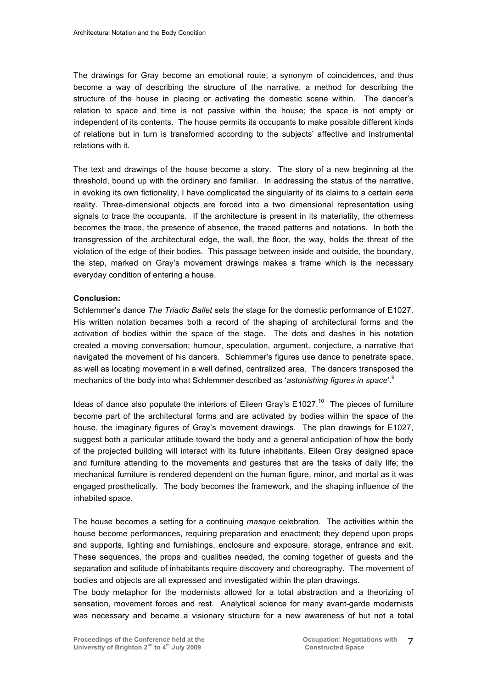The drawings for Gray become an emotional route, a synonym of coincidences, and thus become a way of describing the structure of the narrative, a method for describing the structure of the house in placing or activating the domestic scene within. The dancer's relation to space and time is not passive within the house; the space is not empty or independent of its contents. The house permits its occupants to make possible different kinds of relations but in turn is transformed according to the subjects' affective and instrumental relations with it.

The text and drawings of the house become a story. The story of a new beginning at the threshold, bound up with the ordinary and familiar. In addressing the status of the narrative, in evoking its own fictionality, I have complicated the singularity of its claims to a certain *eerie* reality. Three-dimensional objects are forced into a two dimensional representation using signals to trace the occupants. If the architecture is present in its materiality, the otherness becomes the trace, the presence of absence, the traced patterns and notations. In both the transgression of the architectural edge, the wall, the floor, the way, holds the threat of the violation of the edge of their bodies. This passage between inside and outside, the boundary, the step, marked on Gray's movement drawings makes a frame which is the necessary everyday condition of entering a house.

#### **Conclusion:**

Schlemmer's dance *The Triadic Ballet* sets the stage for the domestic performance of E1027. His written notation becames both a record of the shaping of architectural forms and the activation of bodies within the space of the stage. The dots and dashes in his notation created a moving conversation; humour, speculation, argument, conjecture, a narrative that navigated the movement of his dancers. Schlemmer's figures use dance to penetrate space, as well as locating movement in a well defined, centralized area. The dancers transposed the mechanics of the body into what Schlemmer described as '*astonishing figures in space*'.9

Ideas of dance also populate the interiors of Eileen Gray's  $E1027$ <sup>10</sup> The pieces of furniture become part of the architectural forms and are activated by bodies within the space of the house, the imaginary figures of Gray's movement drawings. The plan drawings for E1027, suggest both a particular attitude toward the body and a general anticipation of how the body of the projected building will interact with its future inhabitants. Eileen Gray designed space and furniture attending to the movements and gestures that are the tasks of daily life; the mechanical furniture is rendered dependent on the human figure, minor, and mortal as it was engaged prosthetically. The body becomes the framework, and the shaping influence of the inhabited space.

The house becomes a setting for a continuing *masque* celebration. The activities within the house become performances, requiring preparation and enactment; they depend upon props and supports, lighting and furnishings, enclosure and exposure, storage, entrance and exit. These sequences, the props and qualities needed, the coming together of guests and the separation and solitude of inhabitants require discovery and choreography. The movement of bodies and objects are all expressed and investigated within the plan drawings.

The body metaphor for the modernists allowed for a total abstraction and a theorizing of sensation, movement forces and rest. Analytical science for many avant-garde modernists was necessary and became a visionary structure for a new awareness of but not a total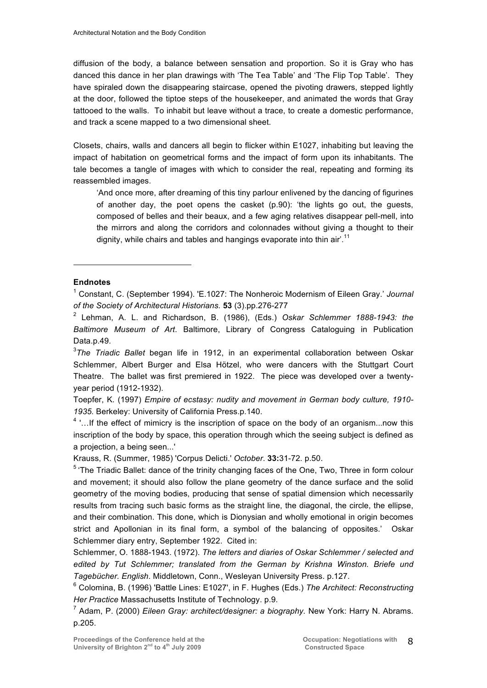diffusion of the body, a balance between sensation and proportion. So it is Gray who has danced this dance in her plan drawings with 'The Tea Table' and 'The Flip Top Table'. They have spiraled down the disappearing staircase, opened the pivoting drawers, stepped lightly at the door, followed the tiptoe steps of the housekeeper, and animated the words that Gray tattooed to the walls. To inhabit but leave without a trace, to create a domestic performance, and track a scene mapped to a two dimensional sheet.

Closets, chairs, walls and dancers all begin to flicker within E1027, inhabiting but leaving the impact of habitation on geometrical forms and the impact of form upon its inhabitants. The tale becomes a tangle of images with which to consider the real, repeating and forming its reassembled images.

'And once more, after dreaming of this tiny parlour enlivened by the dancing of figurines of another day, the poet opens the casket (p.90): 'the lights go out, the guests, composed of belles and their beaux, and a few aging relatives disappear pell-mell, into the mirrors and along the corridors and colonnades without giving a thought to their dignity, while chairs and tables and hangings evaporate into thin air'.<sup>11</sup>

#### **Endnotes**

-

<sup>1</sup> Constant, C. (September 1994). 'E.1027: The Nonheroic Modernism of Eileen Gray.' *Journal of the Society of Architectural Historians.* **53** (3).pp.276-277

2 Lehman, A. L. and Richardson, B. (1986), (Eds.) *Oskar Schlemmer 1888-1943: the Baltimore Museum of Art*. Baltimore, Library of Congress Cataloguing in Publication Data.p.49.

3 *The Triadic Ballet* began life in 1912, in an experimental collaboration between Oskar Schlemmer, Albert Burger and Elsa Hötzel, who were dancers with the Stuttgart Court Theatre. The ballet was first premiered in 1922. The piece was developed over a twentyyear period (1912-1932).

Toepfer, K. (1997) *Empire of ecstasy: nudity and movement in German body culture, 1910- 1935.* Berkeley: University of California Press.p.140.

 $4$ ... If the effect of mimicry is the inscription of space on the body of an organism... now this inscription of the body by space, this operation through which the seeing subject is defined as a projection, a being seen...'

Krauss, R. (Summer, 1985) 'Corpus Delicti.' *October*. **33:**31-72. p.50.

 $5$  The Triadic Ballet: dance of the trinity changing faces of the One, Two, Three in form colour and movement; it should also follow the plane geometry of the dance surface and the solid geometry of the moving bodies, producing that sense of spatial dimension which necessarily results from tracing such basic forms as the straight line, the diagonal, the circle, the ellipse, and their combination. This done, which is Dionysian and wholly emotional in origin becomes strict and Apollonian in its final form, a symbol of the balancing of opposites.' Oskar Schlemmer diary entry, September 1922. Cited in:

Schlemmer, O. 1888-1943. (1972). *The letters and diaries of Oskar Schlemmer / selected and edited by Tut Schlemmer; translated from the German by Krishna Winston. Briefe und Tagebücher. English*. Middletown, Conn., Wesleyan University Press. p.127.

<sup>6</sup> Colomina, B. (1996) 'Battle Lines: E1027', in F. Hughes (Eds.) *The Architect: Reconstructing Her Practice* Massachusetts Institute of Technology. p.9.

7 Adam, P. (2000) *Eileen Gray: architect/designer: a biography.* New York: Harry N. Abrams. p.205.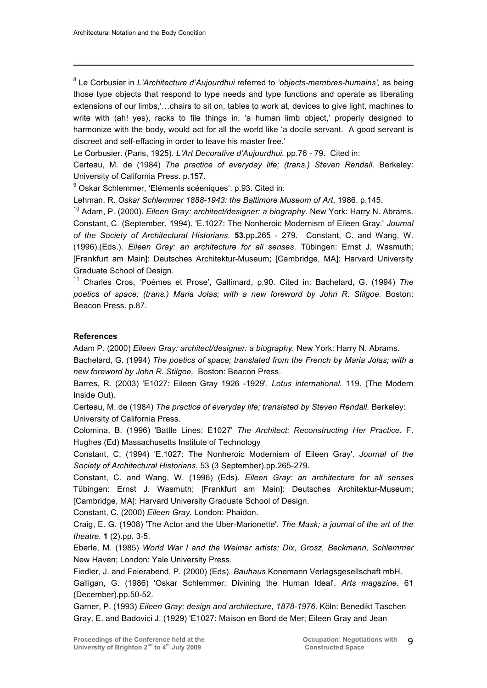-

8 Le Corbusier in *L'Architecture d'Aujourdhui* referred to *'objects-membres-humains',* as being those type objects that respond to type needs and type functions and operate as liberating extensions of our limbs,'…chairs to sit on, tables to work at, devices to give light, machines to write with (ah! yes), racks to file things in, 'a human limb object,' properly designed to harmonize with the body, would act for all the world like 'a docile servant. A good servant is discreet and self-effacing in order to leave his master free.'

Le Corbusier. (Paris, 1925). *L'Art Decorative d'Aujourdhui.* pp.76 - 79. Cited in:

Certeau, M. de (1984) *The practice of everyday life; (trans.) Steven Rendall. Berkeley:* University of California Press. p.157.

<sup>9</sup> Oskar Schlemmer, 'Eléments scéeniques'. p.93. Cited in:

Lehman, R. *Oskar Schlemmer 1888-1943: the Baltimore Museum of Art*, 1986. p.145.

<sup>10</sup> Adam, P. (2000). *Eileen Gray: architect/designer: a biography.* New York: Harry N. Abrams. Constant, C. (September, 1994). 'E.1027: The Nonheroic Modernism of Eileen Gray.' *Journal of the Society of Architectural Historians.* **53.**pp**.**265 - 279. Constant, C. and Wang, W. (1996).(Eds.). *Eileen Gray: an architecture for all senses*. Tübingen: Ernst J. Wasmuth; [Frankfurt am Main]: Deutsches Architektur-Museum; [Cambridge, MA]: Harvard University Graduate School of Design.

11 Charles Cros, 'Poèmes et Prose', Gallimard, p.90. Cited in: Bachelard, G. (1994) *The*  poetics of space; (trans.) Maria Jolas; with a new foreword by John R. Stilgoe. Boston: Beacon Press. p.87.

#### **References**

Adam P. (2000) *Eileen Gray: architect/designer: a biography.* New York: Harry N. Abrams. Bachelard, G. (1994) *The poetics of space; translated from the French by Maria Jolas; with a new foreword by John R. Stilgoe,* Boston: Beacon Press.

Barres, R. (2003) 'E1027: Eileen Gray 1926 -1929'. *Lotus international.* 119. (The Modern Inside Out).

Certeau, M. de (1984) *The practice of everyday life; translated by Steven Rendall.* Berkeley: University of California Press.

Colomina, B. (1996) 'Battle Lines: E1027' *The Architect: Reconstructing Her Practice*. F. Hughes (Ed) Massachusetts Institute of Technology

Constant, C. (1994) 'E.1027: The Nonheroic Modernism of Eileen Gray'. *Journal of the Society of Architectural Historians.* 53 (3 September).pp.265-279.

Constant, C. and Wang, W. (1996) (Eds). *Eileen Gray: an architecture for all senses* Tübingen: Ernst J. Wasmuth; [Frankfurt am Main]: Deutsches Architektur-Museum; [Cambridge, MA]: Harvard University Graduate School of Design.

Constant, C. (2000) *Eileen Gray.* London: Phaidon.

Craig, E. G. (1908) 'The Actor and the Uber-Marionette'. *The Mask; a journal of the art of the theatre.* **1** (2).pp. 3-5.

Eberle, M. (1985) *World War I and the Weimar artists: Dix, Grosz, Beckmann, Schlemmer* New Haven; London: Yale University Press.

Fiedler, J. and Feierabend, P. (2000) (Eds). *Bauhaus* Konemann Verlagsgesellschaft mbH. Galligan, G. (1986) 'Oskar Schlemmer: Divining the Human Ideal'. *Arts magazine.* 61 (December).pp.50-52.

Garner, P. (1993) *Eileen Gray: design and architecture, 1878-1976.* Köln: Benedikt Taschen Gray, E. and Badovici J. (1929) 'E1027: Maison en Bord de Mer; Eileen Gray and Jean